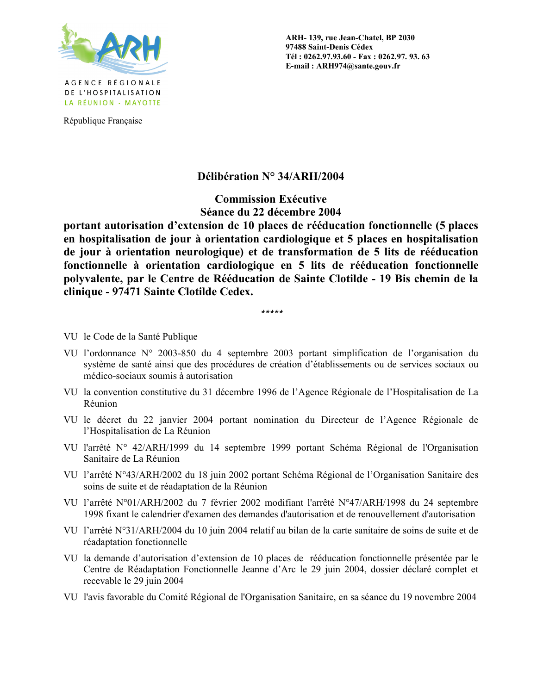

République Française

ARH-139, rue Jean-Chatel, BP 2030 97488 Saint-Denis Cédex Tél: 0262.97.93.60 - Fax: 0262.97.93.63 E-mail: ARH974@sante.gouv.fr

## Délibération N° 34/ARH/2004

**Commission Exécutive** Séance du 22 décembre 2004

portant autorisation d'extension de 10 places de rééducation fonctionnelle (5 places en hospitalisation de jour à orientation cardiologique et 5 places en hospitalisation de jour à orientation neurologique) et de transformation de 5 lits de rééducation fonctionnelle à orientation cardiologique en 5 lits de rééducation fonctionnelle polyvalente, par le Centre de Rééducation de Sainte Clotilde - 19 Bis chemin de la clinique - 97471 Sainte Clotilde Cedex.

\*\*\*\*\*

VU le Code de la Santé Publique

- VU l'ordonnance N° 2003-850 du 4 septembre 2003 portant simplification de l'organisation du système de santé ainsi que des procédures de création d'établissements ou de services sociaux ou médico-sociaux soumis à autorisation
- VU la convention constitutive du 31 décembre 1996 de l'Agence Régionale de l'Hospitalisation de La Réunion
- VU le décret du 22 janvier 2004 portant nomination du Directeur de l'Agence Régionale de l'Hospitalisation de La Réunion
- VU l'arrêté N° 42/ARH/1999 du 14 septembre 1999 portant Schéma Régional de l'Organisation Sanitaire de La Réunion
- VU l'arrêté N°43/ARH/2002 du 18 juin 2002 portant Schéma Régional de l'Organisation Sanitaire des soins de suite et de réadaptation de la Réunion
- VU l'arrêté N°01/ARH/2002 du 7 février 2002 modifiant l'arrêté N°47/ARH/1998 du 24 septembre 1998 fixant le calendrier d'examen des demandes d'autorisation et de renouvellement d'autorisation
- VU l'arrêté N°31/ARH/2004 du 10 juin 2004 relatif au bilan de la carte sanitaire de soins de suite et de réadaptation fonctionnelle
- VU la demande d'autorisation d'extension de 10 places de rééducation fonctionnelle présentée par le Centre de Réadaptation Fonctionnelle Jeanne d'Arc le 29 juin 2004, dossier déclaré complet et recevable le 29 juin 2004
- VU l'avis favorable du Comité Régional de l'Organisation Sanitaire, en sa séance du 19 novembre 2004